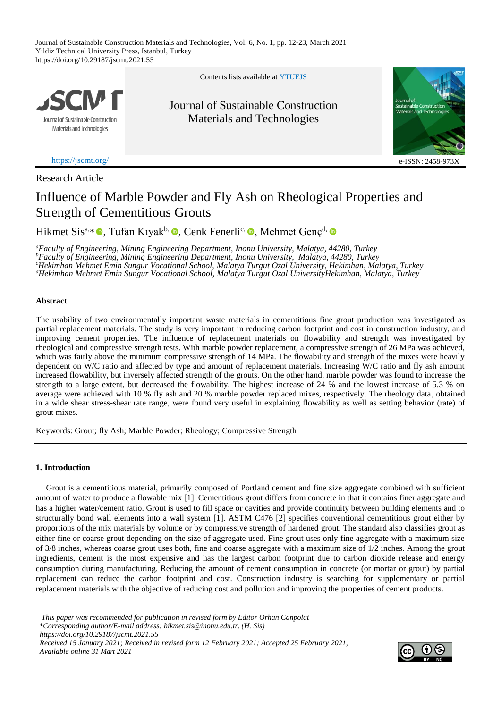

Contents lists available at [YTUE](https://eds.yildiz.edu.tr/jscmt)JS

## Journal of Sustainable Construction Materials and Technologies



<https://jscmt.org/> e-ISSN: 2458-9732

Research Article

# Influence of Marble Powder and Fly Ash on Rheological Properties and Strength of Cementitious Grouts

Hikmet Sis<sup>a[,](https://orcid.org/0000-0002-3238-8551)</sup>\* D, Tufan Kıyak<sup>b,</sup> D, Cenk Fenerli<sup>c,</sup> D, Mehmet Genç<sup>d,</sup>

*<sup>a</sup>Faculty of Engineering, Mining Engineering Department, Inonu University, Malatya, 44280, Turkey <sup>b</sup>Faculty of Engineering, Mining Engineering Department, Inonu University, Malatya, 44280, Turkey <sup>c</sup>Hekimhan Mehmet Emin Sungur Vocational School, Malatya Turgut Ozal University, Hekimhan, Malatya, Turkey <sup>d</sup>Hekimhan Mehmet Emin Sungur Vocational School, Malatya Turgut Ozal UniversityHekimhan, Malatya, Turkey*

## **Abstract**

The usability of two environmentally important waste materials in cementitious fine grout production was investigated as partial replacement materials. The study is very important in reducing carbon footprint and cost in construction industry, and improving cement properties. The influence of replacement materials on flowability and strength was investigated by rheological and compressive strength tests. With marble powder replacement, a compressive strength of 26 MPa was achieved, which was fairly above the minimum compressive strength of 14 MPa. The flowability and strength of the mixes were heavily dependent on W/C ratio and affected by type and amount of replacement materials. Increasing W/C ratio and fly ash amount increased flowability, but inversely affected strength of the grouts. On the other hand, marble powder was found to increase the strength to a large extent, but decreased the flowability. The highest increase of 24 % and the lowest increase of 5.3 % on average were achieved with 10 % fly ash and 20 % marble powder replaced mixes, respectively. The rheology data, obtained in a wide shear stress-shear rate range, were found very useful in explaining flowability as well as setting behavior (rate) of grout mixes.

Keywords: Grout; fly Ash; Marble Powder; Rheology; Compressive Strength

## **1. Introduction**

Grout is a cementitious material, primarily composed of Portland cement and fine size aggregate combined with sufficient amount of water to produce a flowable mix [1]. Cementitious grout differs from concrete in that it contains finer aggregate and has a higher water/cement ratio. Grout is used to fill space or cavities and provide continuity between building elements and to structurally bond wall elements into a wall system [1]. ASTM C476 [2] specifies conventional cementitious grout either by proportions of the mix materials by volume or by compressive strength of hardened grout. The standard also classifies grout as either fine or coarse grout depending on the size of aggregate used. Fine grout uses only fine aggregate with a maximum size of 3/8 inches, whereas coarse grout uses both, fine and coarse aggregate with a maximum size of 1/2 inches. Among the grout ingredients, cement is the most expensive and has the largest carbon footprint due to carbon dioxide release and energy consumption during manufacturing. Reducing the amount of cement consumption in concrete (or mortar or grout) by partial replacement can reduce the carbon footprint and cost. Construction industry is searching for supplementary or partial replacement materials with the objective of reducing cost and pollution and improving the properties of cement products.

 *This paper was recommended for publication in revised form by Editor Orhan Canpolat* \**Corresponding author/E-mail address: hikmet.sis@inonu.edu.tr. (H. Sis) https://doi.org/10.29187/jscmt.2021.55 Received 15 January 2021; Received in revised form 12 February 2021; Accepted 25 February 2021, Available online 31 Mart 2021*

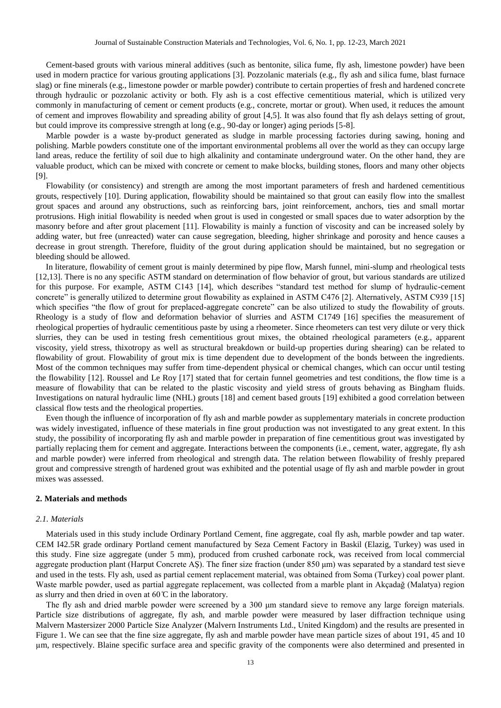Cement-based grouts with various mineral additives (such as bentonite, silica fume, fly ash, limestone powder) have been used in modern practice for various grouting applications [3]. Pozzolanic materials (e.g., fly ash and silica fume, blast furnace slag) or fine minerals (e.g., limestone powder or marble powder) contribute to certain properties of fresh and hardened concrete through hydraulic or pozzolanic activity or both. Fly ash is a cost effective cementitious material, which is utilized very commonly in manufacturing of cement or cement products (e.g., concrete, mortar or grout). When used, it reduces the amount of cement and improves flowability and spreading ability of grout [4,5]. It was also found that fly ash delays setting of grout, but could improve its compressive strength at long (e.g., 90-day or longer) aging periods [5-8].

Marble powder is a waste by-product generated as sludge in marble processing factories during sawing, honing and polishing. Marble powders constitute one of the important environmental problems all over the world as they can occupy large land areas, reduce the fertility of soil due to high alkalinity and contaminate underground water. On the other hand, they are valuable product, which can be mixed with concrete or cement to make blocks, building stones, floors and many other objects [9].

Flowability (or consistency) and strength are among the most important parameters of fresh and hardened cementitious grouts, respectively [10]. During application, flowability should be maintained so that grout can easily flow into the smallest grout spaces and around any obstructions, such as reinforcing bars, joint reinforcement, anchors, ties and small mortar protrusions. High initial flowability is needed when grout is used in congested or small spaces due to water adsorption by the masonry before and after grout placement [11]. Flowability is mainly a function of viscosity and can be increased solely by adding water, but free (unreacted) water can cause segregation, bleeding, higher shrinkage and porosity and hence causes a decrease in grout strength. Therefore, fluidity of the grout during application should be maintained, but no segregation or bleeding should be allowed.

In literature, flowability of cement grout is mainly determined by pipe flow, Marsh funnel, mini-slump and rheological tests [12,13]. There is no any specific ASTM standard on determination of flow behavior of grout, but various standards are utilized for this purpose. For example, ASTM C143 [14], which describes "standard test method for slump of hydraulic-cement concrete" is generally utilized to determine grout flowability as explained in ASTM C476 [2]. Alternatively, ASTM C939 [15] which specifies "the flow of grout for preplaced-aggregate concrete" can be also utilized to study the flowability of grouts. Rheology is a study of flow and deformation behavior of slurries and ASTM C1749 [16] specifies the measurement of rheological properties of hydraulic cementitious paste by using a rheometer. Since rheometers can test very dilute or very thick slurries, they can be used in testing fresh cementitious grout mixes, the obtained rheological parameters (e.g., apparent viscosity, yield stress, thixotropy as well as structural breakdown or build-up properties during shearing) can be related to flowability of grout. Flowability of grout mix is time dependent due to development of the bonds between the ingredients. Most of the common techniques may suffer from time-dependent physical or chemical changes, which can occur until testing the flowability [12]. Roussel and Le Roy [17] stated that for certain funnel geometries and test conditions, the flow time is a measure of flowability that can be related to the plastic viscosity and yield stress of grouts behaving as Bingham fluids. Investigations on natural hydraulic lime (NHL) grouts [18] and cement based grouts [19] exhibited a good correlation between classical flow tests and the rheological properties.

Even though the influence of incorporation of fly ash and marble powder as supplementary materials in concrete production was widely investigated, influence of these materials in fine grout production was not investigated to any great extent. In this study, the possibility of incorporating fly ash and marble powder in preparation of fine cementitious grout was investigated by partially replacing them for cement and aggregate. Interactions between the components (i.e., cement, water, aggregate, fly ash and marble powder) were inferred from rheological and strength data. The relation between flowability of freshly prepared grout and compressive strength of hardened grout was exhibited and the potential usage of fly ash and marble powder in grout mixes was assessed.

#### **2. Materials and methods**

## *2.1. Materials*

Materials used in this study include Ordinary Portland Cement, fine aggregate, coal fly ash, marble powder and tap water. CEM I42.5R grade ordinary Portland cement manufactured by Seza Cement Factory in Baskil (Elazig, Turkey) was used in this study. Fine size aggregate (under 5 mm), produced from crushed carbonate rock, was received from local commercial aggregate production plant (Harput Concrete AŞ). The finer size fraction (under 850 μm) was separated by a standard test sieve and used in the tests. Fly ash, used as partial cement replacement material, was obtained from Soma (Turkey) coal power plant. Waste marble powder, used as partial aggregate replacement, was collected from a marble plant in Akçadağ (Malatya) region as slurry and then dried in oven at  $60^{\circ}$  C in the laboratory.

The fly ash and dried marble powder were screened by a 300 μm standard sieve to remove any large foreign materials. Particle size distributions of aggregate, fly ash, and marble powder were measured by laser diffraction technique using Malvern Mastersizer 2000 Particle Size Analyzer (Malvern Instruments Ltd., United Kingdom) and the results are presented in Figure 1. We can see that the fine size aggregate, fly ash and marble powder have mean particle sizes of about 191, 45 and 10 µm, respectively. Blaine specific surface area and specific gravity of the components were also determined and presented in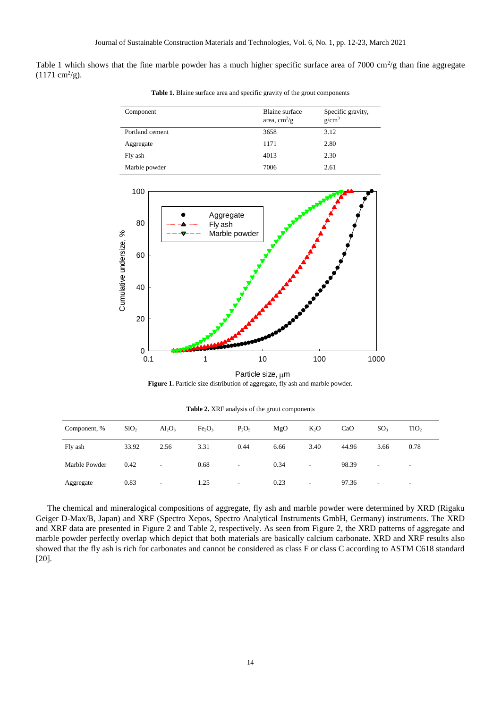Table 1 which shows that the fine marble powder has a much higher specific surface area of  $7000 \text{ cm}^2/\text{g}$  than fine aggregate  $(1171 \text{ cm}^2/\text{g}).$ 

| Component       | Blaine surface<br>area, $\text{cm}^2/\text{g}$ | Specific gravity,<br>g/cm <sup>3</sup> |
|-----------------|------------------------------------------------|----------------------------------------|
| Portland cement | 3658                                           | 3.12                                   |
| Aggregate       | 1171                                           | 2.80                                   |
| Fly ash         | 4013                                           | 2.30                                   |
| Marble powder   | 7006                                           | 2.61                                   |

**Table 1.** Blaine surface area and specific gravity of the grout components



Particle size, um **Figure 1.** Particle size distribution of aggregate, fly ash and marble powder.

**Table 2.** XRF analysis of the grout components

| Component, %  | SiO <sub>2</sub> | $Al_2O_3$ | Fe <sub>2</sub> O <sub>3</sub> | $P_2O_5$ | MgO  | $K_2O$                   | CaO   | SO <sub>3</sub> | TiO <sub>2</sub> |
|---------------|------------------|-----------|--------------------------------|----------|------|--------------------------|-------|-----------------|------------------|
| Fly ash       | 33.92            | 2.56      | 3.31                           | 0.44     | 6.66 | 3.40                     | 44.96 | 3.66            | 0.78             |
| Marble Powder | 0.42             |           | 0.68                           | -        | 0.34 | $\overline{\phantom{a}}$ | 98.39 | ۰.              |                  |
| Aggregate     | 0.83             |           | 1.25                           | -        | 0.23 | $\overline{\phantom{a}}$ | 97.36 | ۰               | ۰                |

The chemical and mineralogical compositions of aggregate, fly ash and marble powder were determined by XRD (Rigaku Geiger D-Max/B, Japan) and XRF (Spectro Xepos, Spectro Analytical Instruments GmbH, Germany) instruments. The XRD and XRF data are presented in Figure 2 and Table 2, respectively. As seen from Figure 2, the XRD patterns of aggregate and marble powder perfectly overlap which depict that both materials are basically calcium carbonate. XRD and XRF results also showed that the fly ash is rich for carbonates and cannot be considered as class F or class C according to ASTM C618 standard [20].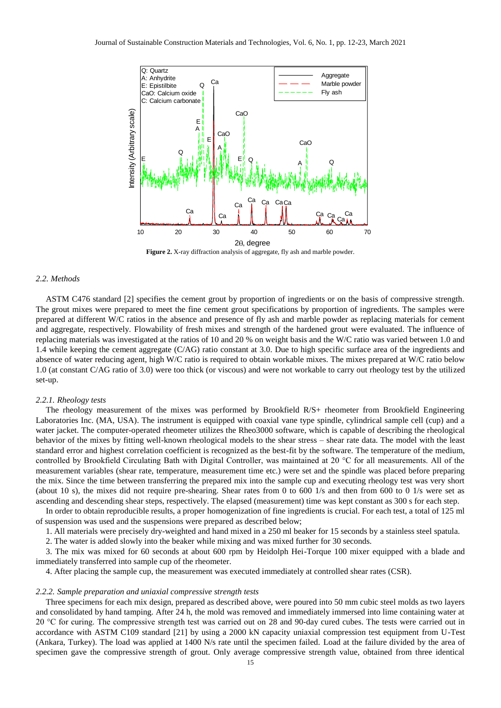

**Figure 2.** X-ray diffraction analysis of aggregate, fly ash and marble powder.

## *2.2. Methods*

ASTM C476 standard [2] specifies the cement grout by proportion of ingredients or on the basis of compressive strength. The grout mixes were prepared to meet the fine cement grout specifications by proportion of ingredients. The samples were prepared at different W/C ratios in the absence and presence of fly ash and marble powder as replacing materials for cement and aggregate, respectively. Flowability of fresh mixes and strength of the hardened grout were evaluated. The influence of replacing materials was investigated at the ratios of 10 and 20 % on weight basis and the W/C ratio was varied between 1.0 and 1.4 while keeping the cement aggregate (C/AG) ratio constant at 3.0. Due to high specific surface area of the ingredients and absence of water reducing agent, high W/C ratio is required to obtain workable mixes. The mixes prepared at W/C ratio below 1.0 (at constant C/AG ratio of 3.0) were too thick (or viscous) and were not workable to carry out rheology test by the utilized set-up.

#### *2.2.1. Rheology tests*

The rheology measurement of the mixes was performed by Brookfield R/S+ rheometer from Brookfield Engineering Laboratories Inc. (MA, USA). The instrument is equipped with coaxial vane type spindle, cylindrical sample cell (cup) and a water jacket. The computer-operated rheometer utilizes the Rheo3000 software, which is capable of describing the rheological behavior of the mixes by fitting well-known rheological models to the shear stress – shear rate data. The model with the least standard error and highest correlation coefficient is recognized as the best-fit by the software. The temperature of the medium, controlled by Brookfield Circulating Bath with Digital Controller, was maintained at 20 °C for all measurements. All of the measurement variables (shear rate, temperature, measurement time etc.) were set and the spindle was placed before preparing the mix. Since the time between transferring the prepared mix into the sample cup and executing rheology test was very short (about 10 s), the mixes did not require pre-shearing. Shear rates from 0 to 600 1/s and then from 600 to 0 1/s were set as ascending and descending shear steps, respectively. The elapsed (measurement) time was kept constant as 300 s for each step.

In order to obtain reproducible results, a proper homogenization of fine ingredients is crucial. For each test, a total of 125 ml of suspension was used and the suspensions were prepared as described below;

1. All materials were precisely dry-weighted and hand mixed in a 250 ml beaker for 15 seconds by a stainless steel spatula.

2. The water is added slowly into the beaker while mixing and was mixed further for 30 seconds.

3. The mix was mixed for 60 seconds at about 600 rpm by Heidolph Hei-Torque 100 mixer equipped with a blade and immediately transferred into sample cup of the rheometer.

4. After placing the sample cup, the measurement was executed immediately at controlled shear rates (CSR).

## *2.2.2. Sample preparation and uniaxial compressive strength tests*

Three specimens for each mix design, prepared as described above, were poured into 50 mm cubic steel molds as two layers and consolidated by hand tamping. After 24 h, the mold was removed and immediately immersed into lime containing water at 20 °C for curing. The compressive strength test was carried out on 28 and 90-day cured cubes. The tests were carried out in accordance with ASTM C109 standard [21] by using a 2000 kN capacity uniaxial compression test equipment from U-Test (Ankara, Turkey). The load was applied at 1400 N/s rate until the specimen failed. Load at the failure divided by the area of specimen gave the compressive strength of grout. Only average compressive strength value, obtained from three identical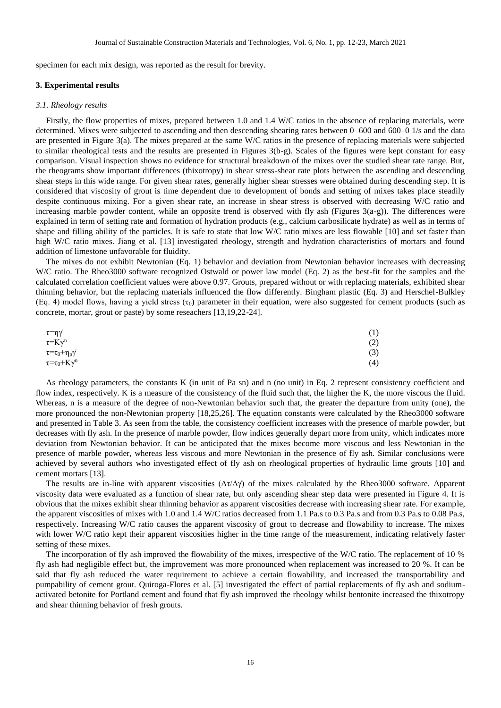specimen for each mix design, was reported as the result for brevity.

#### **3. Experimental results**

#### *3.1. Rheology results*

Firstly, the flow properties of mixes, prepared between 1.0 and 1.4 W/C ratios in the absence of replacing materials, were determined. Mixes were subjected to ascending and then descending shearing rates between 0–600 and 600–0 1/s and the data are presented in Figure 3(a). The mixes prepared at the same W/C ratios in the presence of replacing materials were subjected to similar rheological tests and the results are presented in Figures 3(b-g). Scales of the figures were kept constant for easy comparison. Visual inspection shows no evidence for structural breakdown of the mixes over the studied shear rate range. But, the rheograms show important differences (thixotropy) in shear stress-shear rate plots between the ascending and descending shear steps in this wide range. For given shear rates, generally higher shear stresses were obtained during descending step. It is considered that viscosity of grout is time dependent due to development of bonds and setting of mixes takes place steadily despite continuous mixing. For a given shear rate, an increase in shear stress is observed with decreasing W/C ratio and increasing marble powder content, while an opposite trend is observed with fly ash (Figures 3(a-g)). The differences were explained in term of setting rate and formation of hydration products (e.g., calcium carbosilicate hydrate) as well as in terms of shape and filling ability of the particles. It is safe to state that low W/C ratio mixes are less flowable [10] and set faster than high W/C ratio mixes. Jiang et al. [13] investigated rheology, strength and hydration characteristics of mortars and found addition of limestone unfavorable for fluidity.

The mixes do not exhibit Newtonian (Eq. 1) behavior and deviation from Newtonian behavior increases with decreasing W/C ratio. The Rheo3000 software recognized Ostwald or power law model (Eq. 2) as the best-fit for the samples and the calculated correlation coefficient values were above 0.97. Grouts, prepared without or with replacing materials, exhibited shear thinning behavior, but the replacing materials influenced the flow differently. Bingham plastic (Eq. 3) and Herschel-Bulkley (Eq. 4) model flows, having a yield stress  $(\tau_0)$  parameter in their equation, were also suggested for cement products (such as concrete, mortar, grout or paste) by some reseachers [13,19,22-24].

| $\tau = \eta \gamma$            | (1) |
|---------------------------------|-----|
| $\tau = K\gamma^n$              | (2) |
| $\tau = \tau_0 + \eta_p \gamma$ | (3) |
| $\tau = \tau_0 + K\gamma^n$     | (4) |

As rheology parameters, the constants K (in unit of Pa sn) and n (no unit) in Eq. 2 represent consistency coefficient and flow index, respectively. K is a measure of the consistency of the fluid such that, the higher the K, the more viscous the fluid. Whereas, n is a measure of the degree of non-Newtonian behavior such that, the greater the departure from unity (one), the more pronounced the non-Newtonian property [18,25,26]. The equation constants were calculated by the Rheo3000 software and presented in Table 3. As seen from the table, the consistency coefficient increases with the presence of marble powder, but decreases with fly ash. In the presence of marble powder, flow indices generally depart more from unity, which indicates more deviation from Newtonian behavior. It can be anticipated that the mixes become more viscous and less Newtonian in the presence of marble powder, whereas less viscous and more Newtonian in the presence of fly ash. Similar conclusions were achieved by several authors who investigated effect of fly ash on rheological properties of hydraulic lime grouts [10] and cement mortars [13].

The results are in-line with apparent viscosities  $(\Delta \tau / \Delta \gamma)$  of the mixes calculated by the Rheo3000 software. Apparent viscosity data were evaluated as a function of shear rate, but only ascending shear step data were presented in Figure 4. It is obvious that the mixes exhibit shear thinning behavior as apparent viscosities decrease with increasing shear rate. For example, the apparent viscosities of mixes with 1.0 and 1.4 W/C ratios decreased from 1.1 Pa.s to 0.3 Pa.s and from 0.3 Pa.s to 0.08 Pa.s, respectively. Increasing W/C ratio causes the apparent viscosity of grout to decrease and flowability to increase. The mixes with lower W/C ratio kept their apparent viscosities higher in the time range of the measurement, indicating relatively faster setting of these mixes.

The incorporation of fly ash improved the flowability of the mixes, irrespective of the W/C ratio. The replacement of 10 % fly ash had negligible effect but, the improvement was more pronounced when replacement was increased to 20 %. It can be said that fly ash reduced the water requirement to achieve a certain flowability, and increased the transportability and pumpability of cement grout. Quiroga-Flores et al. [5] investigated the effect of partial replacements of fly ash and sodiumactivated betonite for Portland cement and found that fly ash improved the rheology whilst bentonite increased the thixotropy and shear thinning behavior of fresh grouts.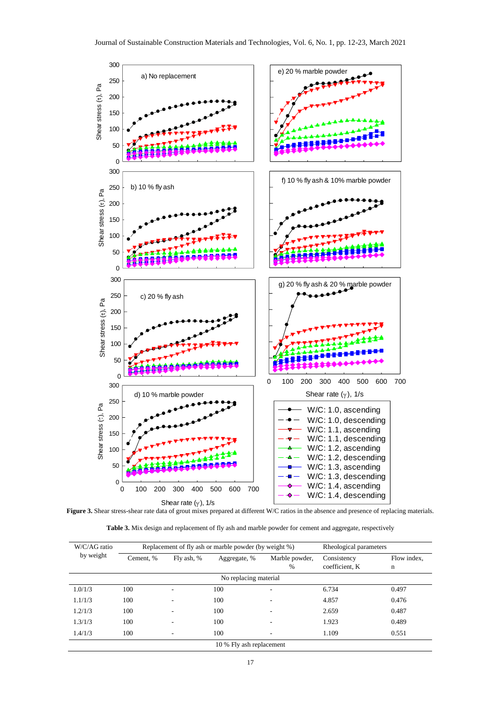

Figure 3. Shear stress-shear rate data of grout mixes prepared at different W/C ratios in the absence and presence of replacing materials.

Table 3. Mix design and replacement of fly ash and marble powder for cement and aggregate, respectively

| W/C/AG ratio |           | Replacement of fly ash or marble powder (by weight %) | Rheological parameters   |                     |                               |                  |
|--------------|-----------|-------------------------------------------------------|--------------------------|---------------------|-------------------------------|------------------|
| by weight    | Cement, % | Fly ash, %                                            | Aggregate, %             | Marble powder,<br>% | Consistency<br>coefficient, K | Flow index,<br>n |
|              |           |                                                       | No replacing material    |                     |                               |                  |
| 1.0/1/3      | 100       | $\overline{\phantom{a}}$                              | 100                      | -                   | 6.734                         | 0.497            |
| 1.1/1/3      | 100       |                                                       | 100                      |                     | 4.857                         | 0.476            |
| 1.2/1/3      | 100       | $\overline{\phantom{a}}$                              | 100                      | ۰                   | 2.659                         | 0.487            |
| 1.3/1/3      | 100       |                                                       | 100                      |                     | 1.923                         | 0.489            |
| 1.4/1/3      | 100       |                                                       | 100                      |                     | 1.109                         | 0.551            |
|              |           |                                                       | 10 % Fly ash replacement |                     |                               |                  |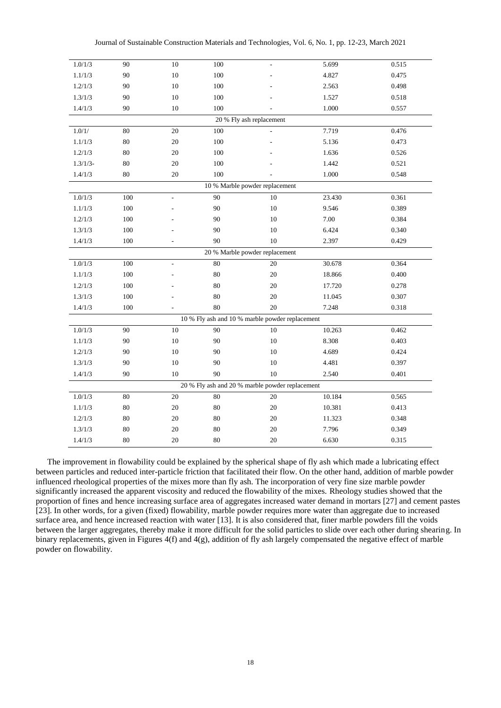| 1.0/1/3                                         | 90      | $10\,$         | $100\,$         |                                | 5.699  | 0.515 |  |
|-------------------------------------------------|---------|----------------|-----------------|--------------------------------|--------|-------|--|
| 1.1/1/3                                         | 90      | $10\,$         | $100\,$         |                                | 4.827  | 0.475 |  |
| 1.2/1/3                                         | 90      | $10\,$         | $100\,$         |                                | 2.563  | 0.498 |  |
| 1.3/1/3                                         | 90      | 10             | $100\,$         |                                | 1.527  | 0.518 |  |
| 1.4/1/3                                         | 90      | 10             | $100\,$         |                                | 1.000  | 0.557 |  |
|                                                 |         |                |                 | 20 % Fly ash replacement       |        |       |  |
| 1.0/1/                                          | 80      | 20             | 100             |                                | 7.719  | 0.476 |  |
| 1.1/1/3                                         | 80      | $20\,$         | $100\,$         |                                | 5.136  | 0.473 |  |
| 1.2/1/3                                         | 80      | $20\,$         | $100\,$         |                                | 1.636  | 0.526 |  |
| $1.3/1/3-$                                      | 80      | $20\,$         | $100\,$         |                                | 1.442  | 0.521 |  |
| 1.4/1/3                                         | 80      | $20\,$         | $100\,$         |                                | 1.000  | 0.548 |  |
|                                                 |         |                |                 | 10 % Marble powder replacement |        |       |  |
| 1.0/1/3                                         | 100     | $\mathcal{L}$  | $\overline{90}$ | 10                             | 23.430 | 0.361 |  |
| 1.1/1/3                                         | 100     |                | 90              | 10                             | 9.546  | 0.389 |  |
| 1.2/1/3                                         | $100\,$ |                | 90              | 10                             | 7.00   | 0.384 |  |
| 1.3/1/3                                         | 100     |                | $90\,$          | 10                             | 6.424  | 0.340 |  |
| 1.4/1/3                                         | $100\,$ |                | 90              | 10                             | 2.397  | 0.429 |  |
|                                                 |         |                |                 | 20 % Marble powder replacement |        |       |  |
| 1.0/1/3                                         | $100\,$ | $\overline{a}$ | 80              | 20                             | 30.678 | 0.364 |  |
| 1.1/1/3                                         | 100     |                | 80              | $20\,$                         | 18.866 | 0.400 |  |
| 1.2/1/3                                         | 100     |                | 80              | 20                             | 17.720 | 0.278 |  |
| 1.3/1/3                                         | $100\,$ |                | 80              | 20                             | 11.045 | 0.307 |  |
| 1.4/1/3                                         | $100\,$ |                | $80\,$          | $20\,$                         | 7.248  | 0.318 |  |
| 10 % Fly ash and 10 % marble powder replacement |         |                |                 |                                |        |       |  |
| 1.0/1/3                                         | 90      | 10             | 90              | 10                             | 10.263 | 0.462 |  |
| 1.1/1/3                                         | 90      | $10\,$         | 90              | 10                             | 8.308  | 0.403 |  |
| 1.2/1/3                                         | 90      | $10\,$         | 90              | 10                             | 4.689  | 0.424 |  |
| 1.3/1/3                                         | 90      | $10\,$         | 90              | 10                             | 4.481  | 0.397 |  |
| 1.4/1/3                                         | 90      | 10             | 90              | 10                             | 2.540  | 0.401 |  |
| 20 % Fly ash and 20 % marble powder replacement |         |                |                 |                                |        |       |  |
| 1.0/1/3                                         | 80      | 20             | $80\,$          | 20                             | 10.184 | 0.565 |  |
| 1.1/1/3                                         | $80\,$  | $20\,$         | $80\,$          | 20                             | 10.381 | 0.413 |  |
| 1.2/1/3                                         | $80\,$  | $20\,$         | $80\,$          | $20\,$                         | 11.323 | 0.348 |  |
| 1.3/1/3                                         | 80      | $20\,$         | 80              | 20                             | 7.796  | 0.349 |  |
| 1.4/1/3                                         | $80\,$  | $20\,$         | $80\,$          | $20\,$                         | 6.630  | 0.315 |  |

The improvement in flowability could be explained by the spherical shape of fly ash which made a lubricating effect between particles and reduced inter-particle friction that facilitated their flow. On the other hand, addition of marble powder influenced rheological properties of the mixes more than fly ash. The incorporation of very fine size marble powder significantly increased the apparent viscosity and reduced the flowability of the mixes. Rheology studies showed that the proportion of fines and hence increasing surface area of aggregates increased water demand in mortars [27] and cement pastes [23]. In other words, for a given (fixed) flowability, marble powder requires more water than aggregate due to increased surface area, and hence increased reaction with water [13]. It is also considered that, finer marble powders fill the voids between the larger aggregates, thereby make it more difficult for the solid particles to slide over each other during shearing. In binary replacements, given in Figures 4(f) and 4(g), addition of fly ash largely compensated the negative effect of marble powder on flowability.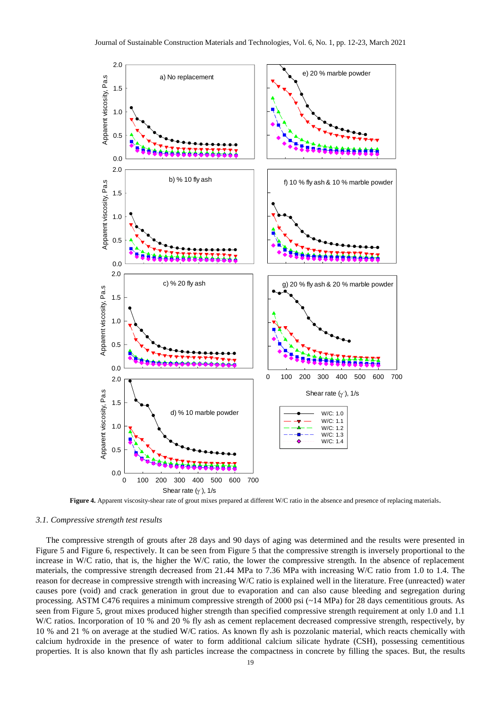

**Figure 4.** Apparent viscosity-shear rate of grout mixes prepared at different W/C ratio in the absence and presence of replacing materials.

## *3.1. Compressive strength test results*

The compressive strength of grouts after 28 days and 90 days of aging was determined and the results were presented in Figure 5 and Figure 6, respectively. It can be seen from Figure 5 that the compressive strength is inversely proportional to the increase in W/C ratio, that is, the higher the W/C ratio, the lower the compressive strength. In the absence of replacement materials, the compressive strength decreased from 21.44 MPa to 7.36 MPa with increasing W/C ratio from 1.0 to 1.4. The reason for decrease in compressive strength with increasing W/C ratio is explained well in the literature. Free (unreacted) water causes pore (void) and crack generation in grout due to evaporation and can also cause bleeding and segregation during processing. ASTM C476 requires a minimum compressive strength of 2000 psi (~14 MPa) for 28 days cementitious grouts. As seen from Figure 5, grout mixes produced higher strength than specified compressive strength requirement at only 1.0 and 1.1 W/C ratios. Incorporation of 10 % and 20 % fly ash as cement replacement decreased compressive strength, respectively, by 10 % and 21 % on average at the studied W/C ratios. As known fly ash is pozzolanic material, which reacts chemically with calcium hydroxide in the presence of water to form additional calcium silicate hydrate (CSH), possessing cementitious properties. It is also known that fly ash particles increase the compactness in concrete by filling the spaces. But, the results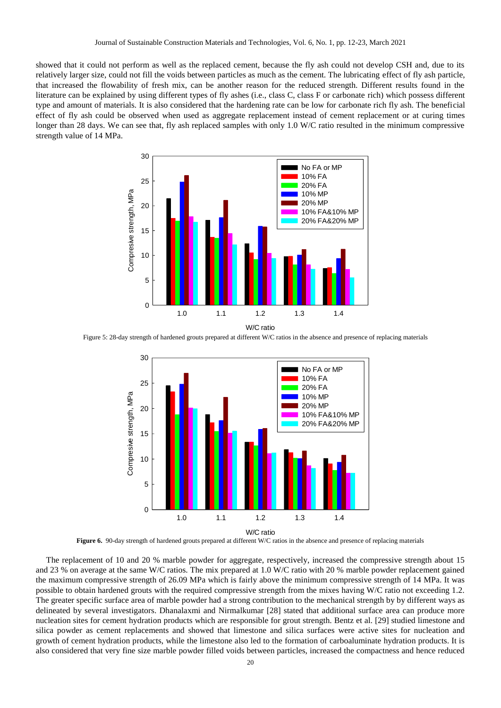showed that it could not perform as well as the replaced cement, because the fly ash could not develop CSH and, due to its relatively larger size, could not fill the voids between particles as much as the cement. The lubricating effect of fly ash particle, that increased the flowability of fresh mix, can be another reason for the reduced strength. Different results found in the literature can be explained by using different types of fly ashes (i.e., class C, class F or carbonate rich) which possess different type and amount of materials. It is also considered that the hardening rate can be low for carbonate rich fly ash. The beneficial effect of fly ash could be observed when used as aggregate replacement instead of cement replacement or at curing times longer than 28 days. We can see that, fly ash replaced samples with only 1.0 W/C ratio resulted in the minimum compressive strength value of 14 MPa.



Figure 5: 28-day strength of hardened grouts prepared at different W/C ratios in the absence and presence of replacing materials



**Figure 6.** 90-day strength of hardened grouts prepared at different W/C ratios in the absence and presence of replacing materials

The replacement of 10 and 20 % marble powder for aggregate, respectively, increased the compressive strength about 15 and 23 % on average at the same W/C ratios. The mix prepared at 1.0 W/C ratio with 20 % marble powder replacement gained the maximum compressive strength of 26.09 MPa which is fairly above the minimum compressive strength of 14 MPa. It was possible to obtain hardened grouts with the required compressive strength from the mixes having W/C ratio not exceeding 1.2. The greater specific surface area of marble powder had a strong contribution to the mechanical strength by by different ways as delineated by several investigators. Dhanalaxmi and Nirmalkumar [28] stated that additional surface area can produce more nucleation sites for cement hydration products which are responsible for grout strength. Bentz et al. [29] studied limestone and silica powder as cement replacements and showed that limestone and silica surfaces were active sites for nucleation and growth of cement hydration products, while the limestone also led to the formation of carboaluminate hydration products. It is also considered that very fine size marble powder filled voids between particles, increased the compactness and hence reduced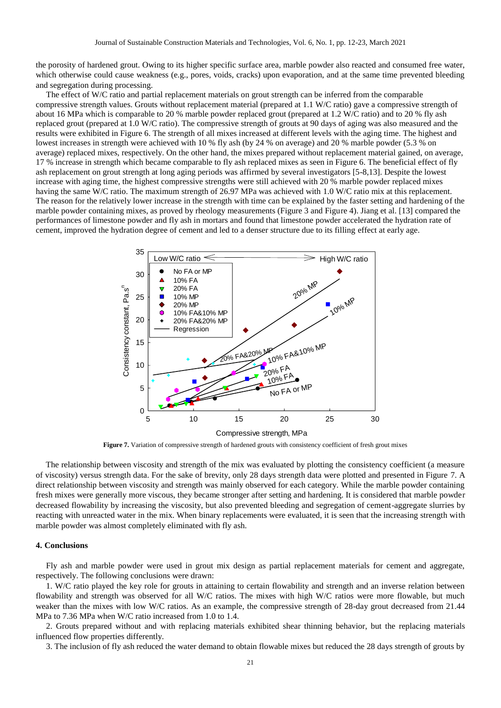the porosity of hardened grout. Owing to its higher specific surface area, marble powder also reacted and consumed free water, which otherwise could cause weakness (e.g., pores, voids, cracks) upon evaporation, and at the same time prevented bleeding and segregation during processing.

The effect of W/C ratio and partial replacement materials on grout strength can be inferred from the comparable compressive strength values. Grouts without replacement material (prepared at 1.1 W/C ratio) gave a compressive strength of about 16 MPa which is comparable to 20 % marble powder replaced grout (prepared at 1.2 W/C ratio) and to 20 % fly ash replaced grout (prepared at 1.0 W/C ratio). The compressive strength of grouts at 90 days of aging was also measured and the results were exhibited in Figure 6. The strength of all mixes increased at different levels with the aging time. The highest and lowest increases in strength were achieved with 10 % fly ash (by 24 % on average) and 20 % marble powder (5.3 % on average) replaced mixes, respectively. On the other hand, the mixes prepared without replacement material gained, on average, 17 % increase in strength which became comparable to fly ash replaced mixes as seen in Figure 6. The beneficial effect of fly ash replacement on grout strength at long aging periods was affirmed by several investigators [5-8,13]. Despite the lowest increase with aging time, the highest compressive strengths were still achieved with 20 % marble powder replaced mixes having the same W/C ratio. The maximum strength of 26.97 MPa was achieved with 1.0 W/C ratio mix at this replacement. The reason for the relatively lower increase in the strength with time can be explained by the faster setting and hardening of the marble powder containing mixes, as proved by rheology measurements (Figure 3 and Figure 4). Jiang et al. [13] compared the performances of limestone powder and fly ash in mortars and found that limestone powder accelerated the hydration rate of cement, improved the hydration degree of cement and led to a denser structure due to its filling effect at early age.



**Figure 7.** Variation of compressive strength of hardened grouts with consistency coefficient of fresh grout mixes

The relationship between viscosity and strength of the mix was evaluated by plotting the consistency coefficient (a measure of viscosity) versus strength data. For the sake of brevity, only 28 days strength data were plotted and presented in Figure 7. A direct relationship between viscosity and strength was mainly observed for each category. While the marble powder containing fresh mixes were generally more viscous, they became stronger after setting and hardening. It is considered that marble powder decreased flowability by increasing the viscosity, but also prevented bleeding and segregation of cement-aggregate slurries by reacting with unreacted water in the mix. When binary replacements were evaluated, it is seen that the increasing strength with marble powder was almost completely eliminated with fly ash.

## **4. Conclusions**

Fly ash and marble powder were used in grout mix design as partial replacement materials for cement and aggregate, respectively. The following conclusions were drawn:

1. W/C ratio played the key role for grouts in attaining to certain flowability and strength and an inverse relation between flowability and strength was observed for all W/C ratios. The mixes with high W/C ratios were more flowable, but much weaker than the mixes with low W/C ratios. As an example, the compressive strength of 28-day grout decreased from 21.44 MPa to 7.36 MPa when W/C ratio increased from 1.0 to 1.4.

2. Grouts prepared without and with replacing materials exhibited shear thinning behavior, but the replacing materials influenced flow properties differently.

3. The inclusion of fly ash reduced the water demand to obtain flowable mixes but reduced the 28 days strength of grouts by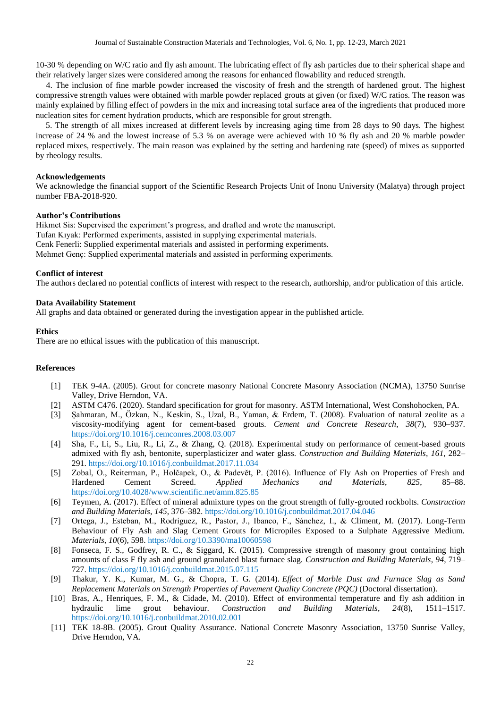10-30 % depending on W/C ratio and fly ash amount. The lubricating effect of fly ash particles due to their spherical shape and their relatively larger sizes were considered among the reasons for enhanced flowability and reduced strength.

4. The inclusion of fine marble powder increased the viscosity of fresh and the strength of hardened grout. The highest compressive strength values were obtained with marble powder replaced grouts at given (or fixed) W/C ratios. The reason was mainly explained by filling effect of powders in the mix and increasing total surface area of the ingredients that produced more nucleation sites for cement hydration products, which are responsible for grout strength.

5. The strength of all mixes increased at different levels by increasing aging time from 28 days to 90 days. The highest increase of 24 % and the lowest increase of 5.3 % on average were achieved with 10 % fly ash and 20 % marble powder replaced mixes, respectively. The main reason was explained by the setting and hardening rate (speed) of mixes as supported by rheology results.

## **Acknowledgements**

We acknowledge the financial support of the Scientific Research Projects Unit of Inonu University (Malatya) through project number FBA-2018-920.

## **Author's Contributions**

Hikmet Sis: Supervised the experiment's progress, and drafted and wrote the manuscript. Tufan Kıyak: Performed experiments, assisted in supplying experimental materials. Cenk Fenerli: Supplied experimental materials and assisted in performing experiments. Mehmet Genç: Supplied experimental materials and assisted in performing experiments.

## **Conflict of interest**

The authors declared no potential conflicts of interest with respect to the research, authorship, and/or publication of this article.

## **Data Availability Statement**

All graphs and data obtained or generated during the investigation appear in the published article.

## **Ethics**

There are no ethical issues with the publication of this manuscript.

#### **References**

- [1] TEK 9-4A. (2005). Grout for concrete masonry National Concrete Masonry Association (NCMA), 13750 Sunrise Valley, Drive Herndon, VA.
- [2] ASTM C476. (2020). Standard specification for grout for masonry. ASTM International, West Conshohocken, PA.
- [3] Şahmaran, M., Özkan, N., Keskin, S., Uzal, B., Yaman, & Erdem, T. (2008). Evaluation of natural zeolite as a viscosity-modifying agent for cement-based grouts. *Cement and Concrete Research*, *38*(7), 930–937. <https://doi.org/10.1016/j.cemconres.2008.03.007>
- [4] Sha, F., Li, S., Liu, R., Li, Z., & Zhang, Q. (2018). Experimental study on performance of cement-based grouts admixed with fly ash, bentonite, superplasticizer and water glass. *Construction and Building Materials*, *161*, 282– 291.<https://doi.org/10.1016/j.conbuildmat.2017.11.034>
- [5] Zobal, O., Reiterman, P., Holčapek, O., & Padevět, P. (2016). Influence of Fly Ash on Properties of Fresh and Hardened Cement Screed. *Applied Mechanics and Materials*, *825*, 85–88. <https://doi.org/10.4028/www.scientific.net/amm.825.85>
- [6] Teymen, A. (2017). Effect of mineral admixture types on the grout strength of fully-grouted rockbolts. *Construction and Building Materials*, *145*, 376–382[. https://doi.org/10.1016/j.conbuildmat.2017.04.046](https://doi.org/10.1016/j.conbuildmat.2017.04.046)
- [7] Ortega, J., Esteban, M., Rodríguez, R., Pastor, J., Ibanco, F., Sánchez, I., & Climent, M. (2017). Long-Term Behaviour of Fly Ash and Slag Cement Grouts for Micropiles Exposed to a Sulphate Aggressive Medium. *Materials*, *10*(6), 598[. https://doi.org/10.3390/ma10060598](https://doi.org/10.3390/ma10060598)
- [8] Fonseca, F. S., Godfrey, R. C., & Siggard, K. (2015). Compressive strength of masonry grout containing high amounts of class F fly ash and ground granulated blast furnace slag. *Construction and Building Materials*, *94*, 719– 727.<https://doi.org/10.1016/j.conbuildmat.2015.07.115>
- [9] Thakur, Y. K., Kumar, M. G., & Chopra, T. G. (2014). *Effect of Marble Dust and Furnace Slag as Sand Replacement Materials on Strength Properties of Pavement Quality Concrete (PQC)* (Doctoral dissertation).
- [10] Bras, A., Henriques, F. M., & Cidade, M. (2010). Effect of environmental temperature and fly ash addition in hydraulic lime grout behaviour. *Construction and Building Materials*, *24*(8), 1511–1517. <https://doi.org/10.1016/j.conbuildmat.2010.02.001>
- [11] TEK 18-8B. (2005). Grout Quality Assurance. National Concrete Masonry Association, 13750 Sunrise Valley, Drive Herndon, VA.